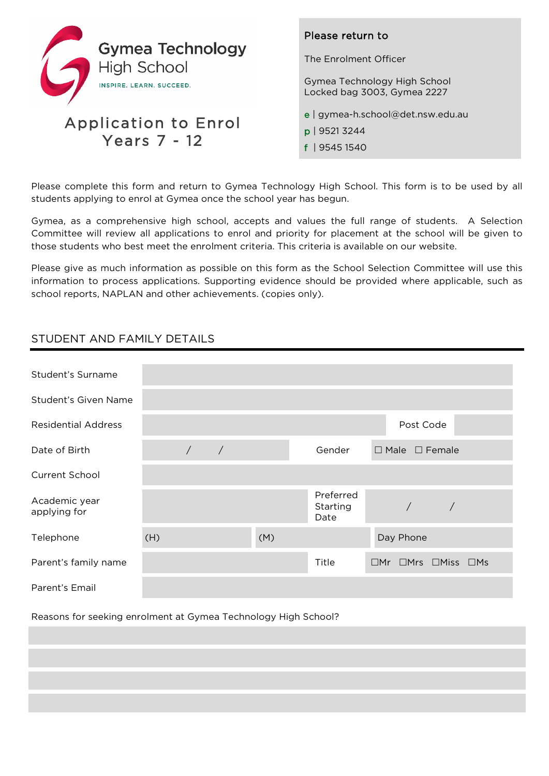

## Application to Enrol Years 7 - 12

## Please return to

The Enrolment Officer

Gymea Technology High School Locked bag 3003, Gymea 2227

- e | gymea-h.school@det.nsw.edu.au
- p | 9521 3244
- f | 9545 1540

Please complete this form and return to Gymea Technology High School. This form is to be used by all students applying to enrol at Gymea once the school year has begun.

Gymea, as a comprehensive high school, accepts and values the full range of students. A Selection Committee will review all applications to enrol and priority for placement at the school will be given to those students who best meet the enrolment criteria. This criteria is available on our website.

Please give as much information as possible on this form as the School Selection Committee will use this information to process applications. Supporting evidence should be provided where applicable, such as school reports, NAPLAN and other achievements. (copies only).

## STUDENT AND FAMILY DETAILS

| Student's Surname             |     |            |            |     |                               |                                            |
|-------------------------------|-----|------------|------------|-----|-------------------------------|--------------------------------------------|
| Student's Given Name          |     |            |            |     |                               |                                            |
| <b>Residential Address</b>    |     |            |            |     |                               | Post Code                                  |
| Date of Birth                 |     | $\sqrt{2}$ | $\sqrt{2}$ |     | Gender                        | $\Box$ Male $\Box$ Female                  |
| Current School                |     |            |            |     |                               |                                            |
| Academic year<br>applying for |     |            |            |     | Preferred<br>Starting<br>Date | $\sqrt{2}$<br>$\sqrt{2}$                   |
| Telephone                     | (H) |            |            | (M) |                               | Day Phone                                  |
| Parent's family name          |     |            |            |     | Title                         | $\Box$ Mr $\Box$ Mrs $\Box$ Miss $\Box$ Ms |
| Parent's Email                |     |            |            |     |                               |                                            |

Reasons for seeking enrolment at Gymea Technology High School?